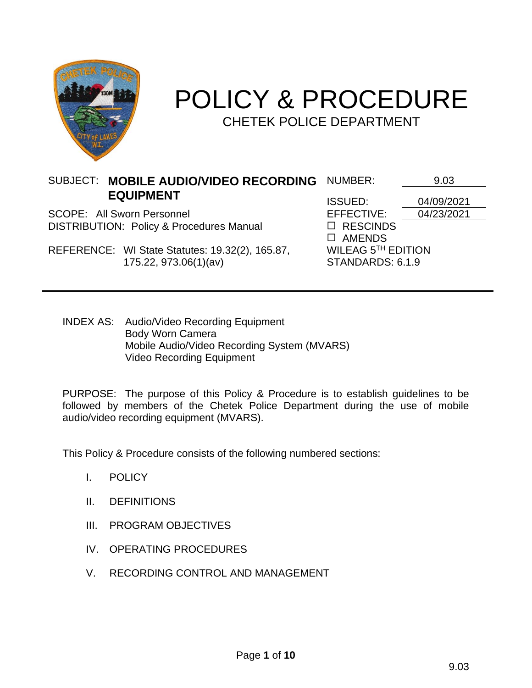

# POLICY & PROCEDURE CHETEK POLICE DEPARTMENT

SUBJECT: MOBILE AUDIO/VIDEO RECORDING NUMBER: <u>\_\_\_\_\_\_\_9.03</u> **EQUIPMENT**

SCOPE: All Sworn Personnel **EFFECTIVE:** 04/23/2021 DISTRIBUTION: Policy & Procedures Manual  $\Box$  RESCINDS

REFERENCE: WI State Statutes: 19.32(2), 165.87, 175.22, 973.06(1)(av)

ISSUED: 04/09/2021 AMENDS WILEAG 5 TH EDITION STANDARDS: 6.1.9

INDEX AS: Audio/Video Recording Equipment Body Worn Camera Mobile Audio/Video Recording System (MVARS) Video Recording Equipment

PURPOSE: The purpose of this Policy & Procedure is to establish guidelines to be followed by members of the Chetek Police Department during the use of mobile audio/video recording equipment (MVARS).

This Policy & Procedure consists of the following numbered sections:

- I. POLICY
- II. DEFINITIONS
- III. PROGRAM OBJECTIVES
- IV. OPERATING PROCEDURES
- V. RECORDING CONTROL AND MANAGEMENT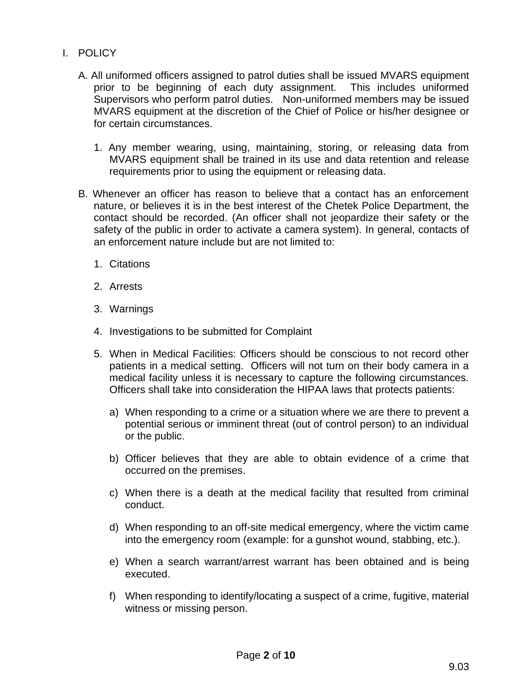- I. POLICY
	- A. All uniformed officers assigned to patrol duties shall be issued MVARS equipment prior to be beginning of each duty assignment. This includes uniformed Supervisors who perform patrol duties. Non-uniformed members may be issued MVARS equipment at the discretion of the Chief of Police or his/her designee or for certain circumstances.
		- 1. Any member wearing, using, maintaining, storing, or releasing data from MVARS equipment shall be trained in its use and data retention and release requirements prior to using the equipment or releasing data.
	- B. Whenever an officer has reason to believe that a contact has an enforcement nature, or believes it is in the best interest of the Chetek Police Department, the contact should be recorded. (An officer shall not jeopardize their safety or the safety of the public in order to activate a camera system). In general, contacts of an enforcement nature include but are not limited to:
		- 1. Citations
		- 2. Arrests
		- 3. Warnings
		- 4. Investigations to be submitted for Complaint
		- 5. When in Medical Facilities: Officers should be conscious to not record other patients in a medical setting. Officers will not turn on their body camera in a medical facility unless it is necessary to capture the following circumstances. Officers shall take into consideration the HIPAA laws that protects patients:
			- a) When responding to a crime or a situation where we are there to prevent a potential serious or imminent threat (out of control person) to an individual or the public.
			- b) Officer believes that they are able to obtain evidence of a crime that occurred on the premises.
			- c) When there is a death at the medical facility that resulted from criminal conduct.
			- d) When responding to an off-site medical emergency, where the victim came into the emergency room (example: for a gunshot wound, stabbing, etc.).
			- e) When a search warrant/arrest warrant has been obtained and is being executed.
			- f) When responding to identify/locating a suspect of a crime, fugitive, material witness or missing person.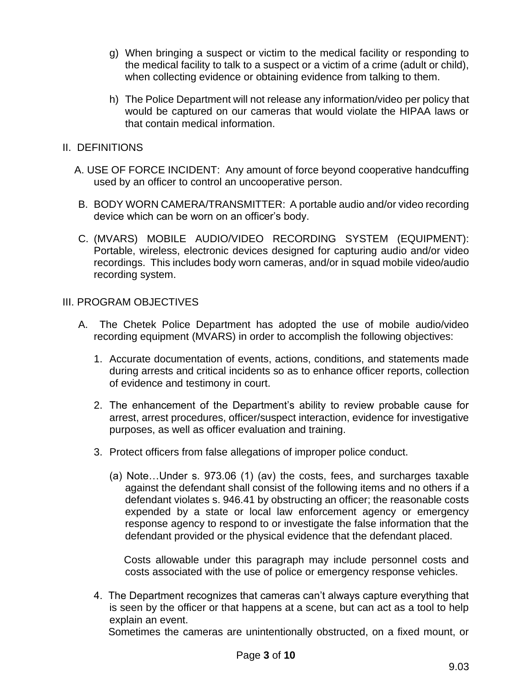- g) When bringing a suspect or victim to the medical facility or responding to the medical facility to talk to a suspect or a victim of a crime (adult or child), when collecting evidence or obtaining evidence from talking to them.
- h) The Police Department will not release any information/video per policy that would be captured on our cameras that would violate the HIPAA laws or that contain medical information.
- II. DEFINITIONS
	- A. USE OF FORCE INCIDENT: Any amount of force beyond cooperative handcuffing used by an officer to control an uncooperative person.
	- B. BODY WORN CAMERA/TRANSMITTER: A portable audio and/or video recording device which can be worn on an officer's body.
	- C. (MVARS) MOBILE AUDIO/VIDEO RECORDING SYSTEM (EQUIPMENT): Portable, wireless, electronic devices designed for capturing audio and/or video recordings. This includes body worn cameras, and/or in squad mobile video/audio recording system.

## III. PROGRAM OBJECTIVES

- A. The Chetek Police Department has adopted the use of mobile audio/video recording equipment (MVARS) in order to accomplish the following objectives:
	- 1. Accurate documentation of events, actions, conditions, and statements made during arrests and critical incidents so as to enhance officer reports, collection of evidence and testimony in court.
	- 2. The enhancement of the Department's ability to review probable cause for arrest, arrest procedures, officer/suspect interaction, evidence for investigative purposes, as well as officer evaluation and training.
	- 3. Protect officers from false allegations of improper police conduct.
		- (a) Note…Under s. 973.06 (1) (av) the costs, fees, and surcharges taxable against the defendant shall consist of the following items and no others if a defendant violates s. 946.41 by obstructing an officer; the reasonable costs expended by a state or local law enforcement agency or emergency response agency to respond to or investigate the false information that the defendant provided or the physical evidence that the defendant placed.

 Costs allowable under this paragraph may include personnel costs and costs associated with the use of police or emergency response vehicles.

4. The Department recognizes that cameras can't always capture everything that is seen by the officer or that happens at a scene, but can act as a tool to help explain an event.

Sometimes the cameras are unintentionally obstructed, on a fixed mount, or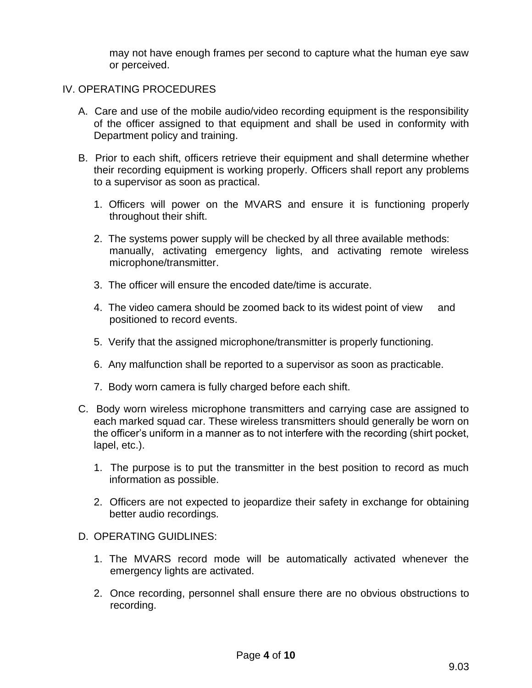may not have enough frames per second to capture what the human eye saw or perceived.

#### IV. OPERATING PROCEDURES

- A. Care and use of the mobile audio/video recording equipment is the responsibility of the officer assigned to that equipment and shall be used in conformity with Department policy and training.
- B. Prior to each shift, officers retrieve their equipment and shall determine whether their recording equipment is working properly. Officers shall report any problems to a supervisor as soon as practical.
	- 1. Officers will power on the MVARS and ensure it is functioning properly throughout their shift.
	- 2. The systems power supply will be checked by all three available methods: manually, activating emergency lights, and activating remote wireless microphone/transmitter.
	- 3. The officer will ensure the encoded date/time is accurate.
	- 4. The video camera should be zoomed back to its widest point of view and positioned to record events.
	- 5. Verify that the assigned microphone/transmitter is properly functioning.
	- 6. Any malfunction shall be reported to a supervisor as soon as practicable.
	- 7. Body worn camera is fully charged before each shift.
- C. Body worn wireless microphone transmitters and carrying case are assigned to each marked squad car. These wireless transmitters should generally be worn on the officer's uniform in a manner as to not interfere with the recording (shirt pocket, lapel, etc.).
	- 1. The purpose is to put the transmitter in the best position to record as much information as possible.
	- 2. Officers are not expected to jeopardize their safety in exchange for obtaining better audio recordings.

### D. OPERATING GUIDLINES:

- 1. The MVARS record mode will be automatically activated whenever the emergency lights are activated.
- 2. Once recording, personnel shall ensure there are no obvious obstructions to recording.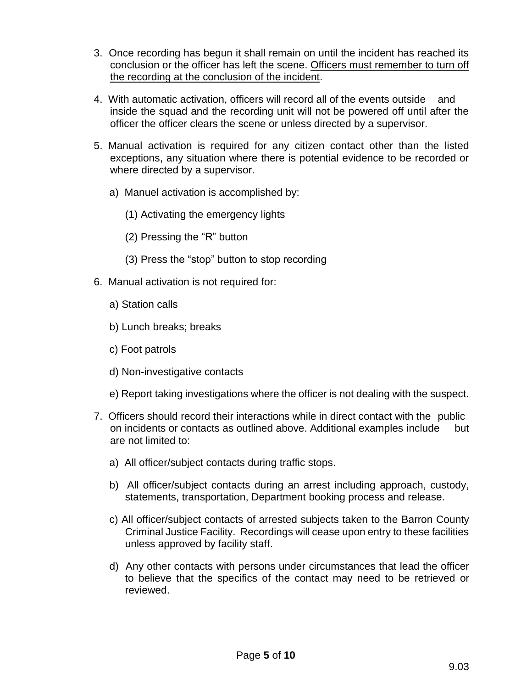- 3. Once recording has begun it shall remain on until the incident has reached its conclusion or the officer has left the scene. Officers must remember to turn off the recording at the conclusion of the incident.
- 4. With automatic activation, officers will record all of the events outside and inside the squad and the recording unit will not be powered off until after the officer the officer clears the scene or unless directed by a supervisor.
- 5. Manual activation is required for any citizen contact other than the listed exceptions, any situation where there is potential evidence to be recorded or where directed by a supervisor.
	- a) Manuel activation is accomplished by:
		- (1) Activating the emergency lights
		- (2) Pressing the "R" button
		- (3) Press the "stop" button to stop recording
- 6. Manual activation is not required for:
	- a) Station calls
	- b) Lunch breaks; breaks
	- c) Foot patrols
	- d) Non-investigative contacts
	- e) Report taking investigations where the officer is not dealing with the suspect.
- 7. Officers should record their interactions while in direct contact with the public on incidents or contacts as outlined above. Additional examples include but are not limited to:
	- a) All officer/subject contacts during traffic stops.
	- b) All officer/subject contacts during an arrest including approach, custody, statements, transportation, Department booking process and release.
	- c) All officer/subject contacts of arrested subjects taken to the Barron County Criminal Justice Facility. Recordings will cease upon entry to these facilities unless approved by facility staff.
	- d) Any other contacts with persons under circumstances that lead the officer to believe that the specifics of the contact may need to be retrieved or reviewed.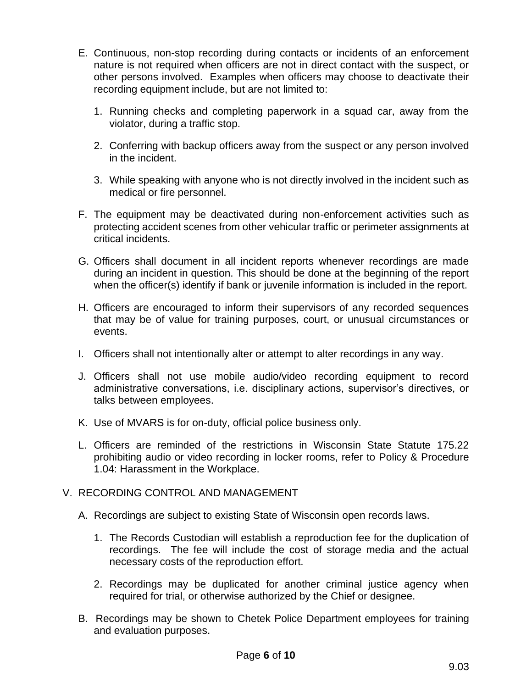- E. Continuous, non-stop recording during contacts or incidents of an enforcement nature is not required when officers are not in direct contact with the suspect, or other persons involved. Examples when officers may choose to deactivate their recording equipment include, but are not limited to:
	- 1. Running checks and completing paperwork in a squad car, away from the violator, during a traffic stop.
	- 2. Conferring with backup officers away from the suspect or any person involved in the incident.
	- 3. While speaking with anyone who is not directly involved in the incident such as medical or fire personnel.
- F. The equipment may be deactivated during non-enforcement activities such as protecting accident scenes from other vehicular traffic or perimeter assignments at critical incidents.
- G. Officers shall document in all incident reports whenever recordings are made during an incident in question. This should be done at the beginning of the report when the officer(s) identify if bank or juvenile information is included in the report.
- H. Officers are encouraged to inform their supervisors of any recorded sequences that may be of value for training purposes, court, or unusual circumstances or events.
- I. Officers shall not intentionally alter or attempt to alter recordings in any way.
- J. Officers shall not use mobile audio/video recording equipment to record administrative conversations, i.e. disciplinary actions, supervisor's directives, or talks between employees.
- K. Use of MVARS is for on-duty, official police business only.
- L. Officers are reminded of the restrictions in Wisconsin State Statute 175.22 prohibiting audio or video recording in locker rooms, refer to Policy & Procedure 1.04: Harassment in the Workplace.

# V. RECORDING CONTROL AND MANAGEMENT

- A. Recordings are subject to existing State of Wisconsin open records laws.
	- 1. The Records Custodian will establish a reproduction fee for the duplication of recordings. The fee will include the cost of storage media and the actual necessary costs of the reproduction effort.
	- 2. Recordings may be duplicated for another criminal justice agency when required for trial, or otherwise authorized by the Chief or designee.
- B. Recordings may be shown to Chetek Police Department employees for training and evaluation purposes.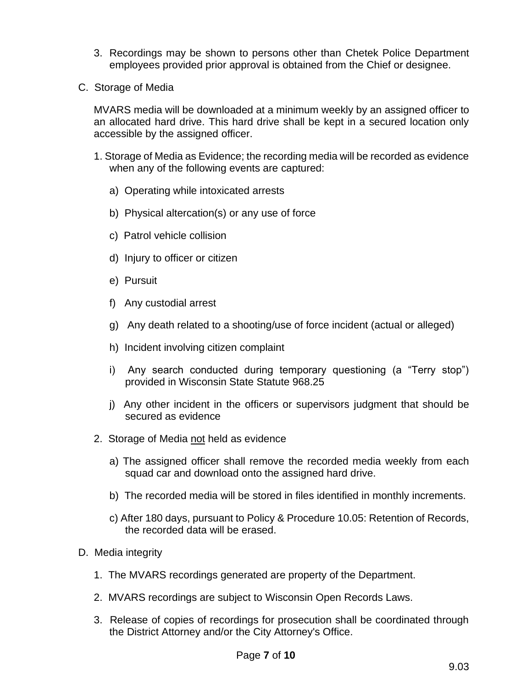- 3. Recordings may be shown to persons other than Chetek Police Department employees provided prior approval is obtained from the Chief or designee.
- C. Storage of Media

MVARS media will be downloaded at a minimum weekly by an assigned officer to an allocated hard drive. This hard drive shall be kept in a secured location only accessible by the assigned officer.

- 1. Storage of Media as Evidence; the recording media will be recorded as evidence when any of the following events are captured:
	- a) Operating while intoxicated arrests
	- b) Physical altercation(s) or any use of force
	- c) Patrol vehicle collision
	- d) Injury to officer or citizen
	- e) Pursuit
	- f) Any custodial arrest
	- g) Any death related to a shooting/use of force incident (actual or alleged)
	- h) Incident involving citizen complaint
	- i) Any search conducted during temporary questioning (a "Terry stop") provided in Wisconsin State Statute 968.25
	- j) Any other incident in the officers or supervisors judgment that should be secured as evidence
- 2. Storage of Media not held as evidence
	- a) The assigned officer shall remove the recorded media weekly from each squad car and download onto the assigned hard drive.
	- b) The recorded media will be stored in files identified in monthly increments.
	- c) After 180 days, pursuant to Policy & Procedure 10.05: Retention of Records, the recorded data will be erased.
- D. Media integrity
	- 1. The MVARS recordings generated are property of the Department.
	- 2. MVARS recordings are subject to Wisconsin Open Records Laws.
	- 3. Release of copies of recordings for prosecution shall be coordinated through the District Attorney and/or the City Attorney's Office.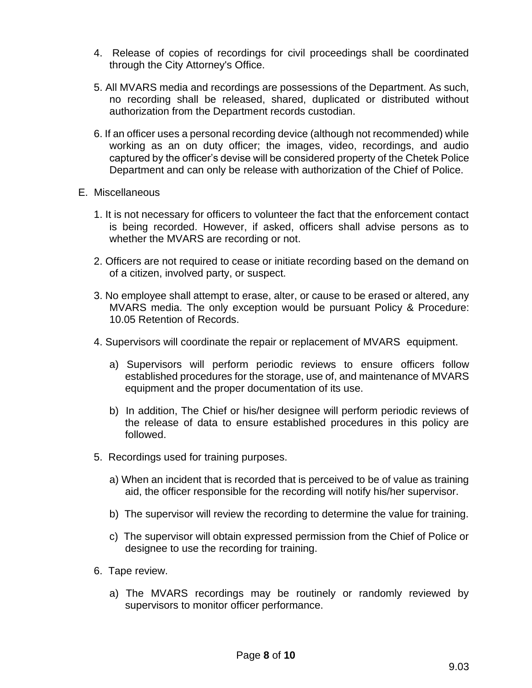- 4. Release of copies of recordings for civil proceedings shall be coordinated through the City Attorney's Office.
- 5. All MVARS media and recordings are possessions of the Department. As such, no recording shall be released, shared, duplicated or distributed without authorization from the Department records custodian.
- 6. If an officer uses a personal recording device (although not recommended) while working as an on duty officer; the images, video, recordings, and audio captured by the officer's devise will be considered property of the Chetek Police Department and can only be release with authorization of the Chief of Police.
- E. Miscellaneous
	- 1. It is not necessary for officers to volunteer the fact that the enforcement contact is being recorded. However, if asked, officers shall advise persons as to whether the MVARS are recording or not.
	- 2. Officers are not required to cease or initiate recording based on the demand on of a citizen, involved party, or suspect.
	- 3. No employee shall attempt to erase, alter, or cause to be erased or altered, any MVARS media. The only exception would be pursuant Policy & Procedure: 10.05 Retention of Records.
	- 4. Supervisors will coordinate the repair or replacement of MVARS equipment.
		- a) Supervisors will perform periodic reviews to ensure officers follow established procedures for the storage, use of, and maintenance of MVARS equipment and the proper documentation of its use.
		- b) In addition, The Chief or his/her designee will perform periodic reviews of the release of data to ensure established procedures in this policy are followed.
	- 5. Recordings used for training purposes.
		- a) When an incident that is recorded that is perceived to be of value as training aid, the officer responsible for the recording will notify his/her supervisor.
		- b) The supervisor will review the recording to determine the value for training.
		- c) The supervisor will obtain expressed permission from the Chief of Police or designee to use the recording for training.
	- 6. Tape review.
		- a) The MVARS recordings may be routinely or randomly reviewed by supervisors to monitor officer performance.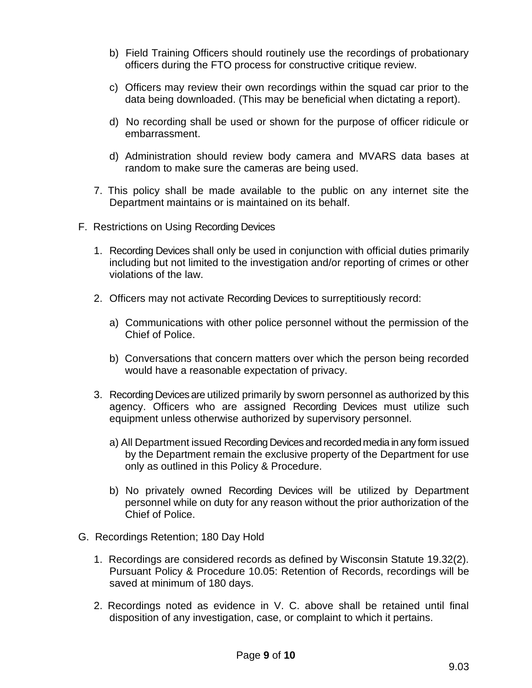- b) Field Training Officers should routinely use the recordings of probationary officers during the FTO process for constructive critique review.
- c) Officers may review their own recordings within the squad car prior to the data being downloaded. (This may be beneficial when dictating a report).
- d) No recording shall be used or shown for the purpose of officer ridicule or embarrassment.
- d) Administration should review body camera and MVARS data bases at random to make sure the cameras are being used.
- 7. This policy shall be made available to the public on any internet site the Department maintains or is maintained on its behalf.
- F. Restrictions on Using Recording Devices
	- 1. Recording Devices shall only be used in conjunction with official duties primarily including but not limited to the investigation and/or reporting of crimes or other violations of the law.
	- 2. Officers may not activate Recording Devices to surreptitiously record:
		- a) Communications with other police personnel without the permission of the Chief of Police.
		- b) Conversations that concern matters over which the person being recorded would have a reasonable expectation of privacy.
	- 3. Recording Devices are utilized primarily by sworn personnel as authorized by this agency. Officers who are assigned Recording Devices must utilize such equipment unless otherwise authorized by supervisory personnel.
		- a) All Department issued Recording Devices and recorded media in any form issued by the Department remain the exclusive property of the Department for use only as outlined in this Policy & Procedure.
		- b) No privately owned Recording Devices will be utilized by Department personnel while on duty for any reason without the prior authorization of the Chief of Police.
- G. Recordings Retention; 180 Day Hold
	- 1. Recordings are considered records as defined by Wisconsin Statute 19.32(2). Pursuant Policy & Procedure 10.05: Retention of Records, recordings will be saved at minimum of 180 days.
	- 2. Recordings noted as evidence in V. C. above shall be retained until final disposition of any investigation, case, or complaint to which it pertains.